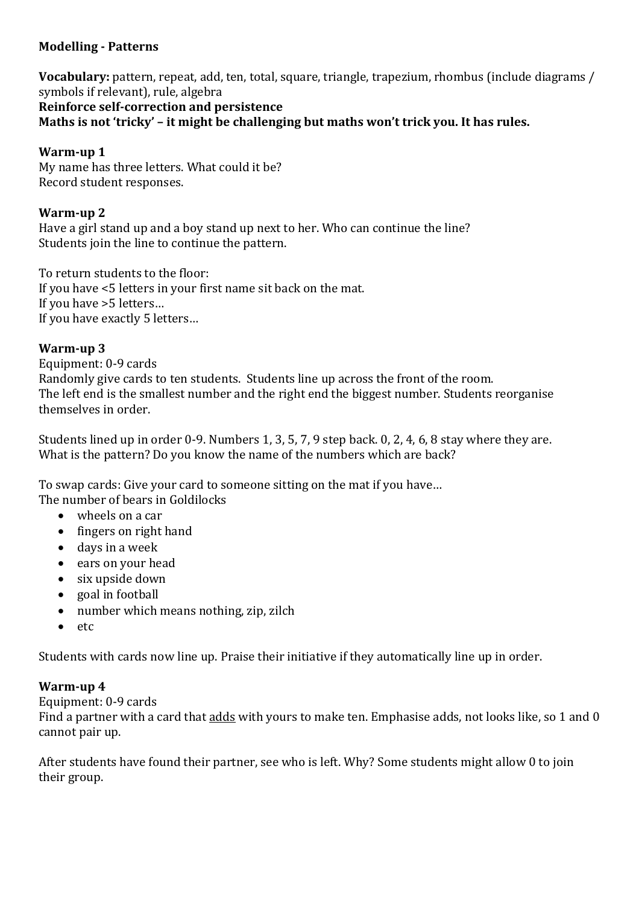# **Modelling - Patterns**

**Vocabulary:** pattern, repeat, add, ten, total, square, triangle, trapezium, rhombus (include diagrams / symbols if relevant), rule, algebra **Reinforce self-correction and persistence Maths is not 'tricky' – it might be challenging but maths won't trick you. It has rules.**

# **Warm-up 1**

My name has three letters. What could it be? Record student responses.

## **Warm-up 2**

Have a girl stand up and a boy stand up next to her. Who can continue the line? Students join the line to continue the pattern.

To return students to the floor: If you have <5 letters in your first name sit back on the mat. If you have >5 letters… If you have exactly 5 letters…

## **Warm-up 3**

Equipment: 0-9 cards Randomly give cards to ten students. Students line up across the front of the room. The left end is the smallest number and the right end the biggest number. Students reorganise themselves in order.

Students lined up in order 0-9. Numbers 1, 3, 5, 7, 9 step back. 0, 2, 4, 6, 8 stay where they are. What is the pattern? Do you know the name of the numbers which are back?

To swap cards: Give your card to someone sitting on the mat if you have… The number of bears in Goldilocks

- wheels on a car
- fingers on right hand
- days in a week
- ears on your head
- six upside down
- goal in football
- number which means nothing, zip, zilch
- etc

Students with cards now line up. Praise their initiative if they automatically line up in order.

## **Warm-up 4**

Equipment: 0-9 cards

Find a partner with a card that adds with yours to make ten. Emphasise adds, not looks like, so 1 and 0 cannot pair up.

After students have found their partner, see who is left. Why? Some students might allow 0 to join their group.